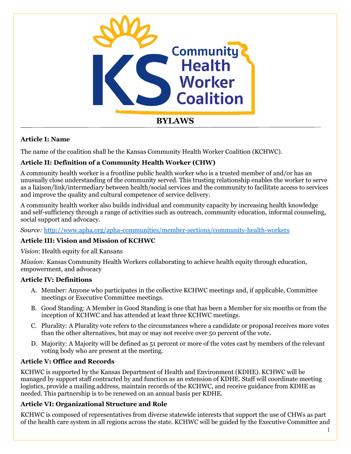

## **Article I: Name**

The name of the coalition shall be the Kansas Community Health Worker Coalition (KCHWC).

# **Article II: Definition of a Community Health Worker (CHW)**

A community health worker is a frontline public health worker who is a trusted member of and/or has an unusually close understanding of the community served. This trusting relationship enables the worker to serve as a liaison/link/intermediary between health/social services and the community to facilitate access to services and improve the quality and cultural competence of service delivery.

A community health worker also builds individual and community capacity by increasing health knowledge and self-sufficiency through a range of activities such as outreach, community education, informal counseling, social support and advocacy.

*Source:* <http://www.apha.org/apha-communities/member-sections/community-health-workers>

# **Article III: Vision and Mission of KCHWC**

*Vision*: Health equity for all Kansans

*Mission:* Kansas Community Health Workers collaborating to achieve health equity through education, empowerment, and advocacy

### **Article IV: Definitions**

- A. Member: Anyone who participates in the collective KCHWC meetings and, if applicable, Committee meetings or Executive Committee meetings.
- B. Good Standing: A Member in Good Standing is one that has been a Member for six months or from the inception of KCHWC and has attended at least three KCHWC meetings.
- C. Plurality: A Plurality vote refers to the circumstances where a candidate or proposal receives more votes than the other alternatives, but may or may not receive over 50 percent of the vote.
- D. Majority: A Majority will be defined as 51 percent or more of the votes cast by members of the relevant voting body who are present at the meeting.

# **Article V: Office and Records**

KCHWC is supported by the Kansas Department of Health and Environment (KDHE). KCHWC will be managed by support staff contracted by and function as an extension of KDHE. Staff will coordinate meeting logistics, provide a mailing address, maintain records of the KCHWC, and receive guidance from KDHE as needed. This partnership is to be renewed on an annual basis per KDHE.

### **Article VI: Organizational Structure and Role**

KCHWC is composed of representatives from diverse statewide interests that support the use of CHWs as part of the health care system in all regions across the state. KCHWC will be guided by the Executive Committee and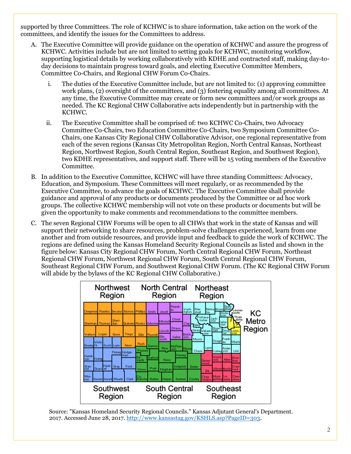supported by three Committees. The role of KCHWC is to share information, take action on the work of the committees, and identify the issues for the Committees to address.

- A. The Executive Committee will provide guidance on the operation of KCHWC and assure the progress of KCHWC. Activities include but are not limited to setting goals for KCHWC, monitoring workflow, supporting logistical details by working collaboratively with KDHE and contracted staff, making day-today decisions to maintain progress toward goals, and electing Executive Committee Members, Committee Co-Chairs, and Regional CHW Forum Co-Chairs.
	- i. The duties of the Executive Committee include, but are not limited to: (1) approving committee work plans, (2) oversight of the committees, and (3) fostering equality among all committees. At any time, the Executive Committee may create or form new committees and/or work groups as needed. The KC Regional CHW Collaborative acts independently but in partnership with the KCHWC.
	- ii. The Executive Committee shall be comprised of: two KCHWC Co-Chairs, two Advocacy Committee Co-Chairs, two Education Committee Co-Chairs, two Symposium Committee Co-Chairs, one Kansas City Regional CHW Collaborative Advisor, one regional representative from each of the seven regions (Kansas City Metropolitan Region, North Central Kansas, Northeast Region, Northwest Region, South Central Region, Southeast Region, and Southwest Region), two KDHE representatives, and support staff. There will be 15 voting members of the Executive Committee.
- B. In addition to the Executive Committee, KCHWC will have three standing Committees: Advocacy, Education, and Symposium. These Committees will meet regularly, or as recommended by the Executive Committee, to advance the goals of KCHWC. The Executive Committee shall provide guidance and approval of any products or documents produced by the Committee or ad hoc work groups. The collective KCHWC membership will not vote on these products or documents but will be given the opportunity to make comments and recommendations to the committee members.
- C. The seven Regional CHW Forums will be open to all CHWs that work in the state of Kansas and will support their networking to share resources, problem-solve challenges experienced, learn from one another and from outside resources, and provide input and feedback to guide the work of KCHWC. The regions are defined using the Kansas Homeland Security Regional Councils as listed and shown in the figure below: Kansas City Regional CHW Forum, North Central Regional CHW Forum, Northeast Regional CHW Forum, Northwest Regional CHW Forum, South Central Regional CHW Forum, Southeast Regional CHW Forum, and Southwest Regional CHW Forum. (The KC Regional CHW Forum will abide by the bylaws of the KC Regional CHW Collaborative.)



Source: "Kansas Homeland Security Regional Councils." Kansas Adjutant General's Department. 2017. Accessed June 28, 2017. [http://www.kansastag.gov/KSHLS.asp?PageID=303.](http://www.kansastag.gov/KSHLS.asp?PageID=303)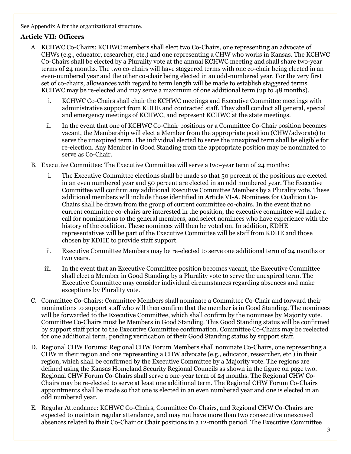See Appendix A for the organizational structure.

## **Article VII: Officers**

- A. KCHWC Co-Chairs: KCHWC members shall elect two Co-Chairs, one representing an advocate of CHWs (e.g., educator, researcher, etc.) and one representing a CHW who works in Kansas. The KCHWC C0-Chairs shall be elected by a Plurality vote at the annual KCHWC meeting and shall share two-year terms of 24 months. The two co-chairs will have staggered terms with one co-chair being elected in an even-numbered year and the other co-chair being elected in an odd-numbered year. For the very first set of co-chairs, allowances with regard to term length will be made to establish staggered terms. KCHWC may be re-elected and may serve a maximum of one additional term (up to 48 months).
	- i. KCHWC Co-Chairs shall chair the KCHWC meetings and Executive Committee meetings with administrative support from KDHE and contracted staff. They shall conduct all general, special and emergency meetings of KCHWC, and represent KCHWC at the state meetings.
	- ii. In the event that one of KCHWC Co-Chair positions or a Committee Co-Chair position becomes vacant, the Membership will elect a Member from the appropriate position (CHW/advocate) to serve the unexpired term. The individual elected to serve the unexpired term shall be eligible for re-election. Any Member in Good Standing from the appropriate position may be nominated to serve as Co-Chair.
- B. Executive Committee: The Executive Committee will serve a two-year term of 24 months:
	- i. The Executive Committee elections shall be made so that 50 percent of the positions are elected in an even numbered year and 50 percent are elected in an odd numbered year. The Executive Committee will confirm any additional Executive Committee Members by a Plurality vote. These additional members will include those identified in Article VI-A. Nominees for Coalition Co-Chairs shall be drawn from the group of current committee co-chairs. In the event that no current committee co-chairs are interested in the position, the executive committee will make a call for nominations to the general members, and select nominees who have experience with the history of the coalition. These nominees will then be voted on. In addition, KDHE representatives will be part of the Executive Committee will be staff from KDHE and those chosen by KDHE to provide staff support.
	- ii. Executive Committee Members may be re-elected to serve one additional term of 24 months or two years.
	- iii. In the event that an Executive Committee position becomes vacant, the Executive Committee shall elect a Member in Good Standing by a Plurality vote to serve the unexpired term. The Executive Committee may consider individual circumstances regarding absences and make exceptions by Plurality vote.
- C. Committee Co-Chairs: Committee Members shall nominate a Committee Co-Chair and forward their nominations to support staff who will then confirm that the member is in Good Standing. The nominees will be forwarded to the Executive Committee, which shall confirm by the nominees by Majority vote. Committee Co-Chairs must be Members in Good Standing. This Good Standing status will be confirmed by support staff prior to the Executive Committee confirmation. Committee Co-Chairs may be reelected for one additional term, pending verification of their Good Standing status by support staff.
- D. Regional CHW Forums: Regional CHW Forum Members shall nominate Co-Chairs, one representing a CHW in their region and one representing a CHW advocate (e.g., educator, researcher, etc.) in their region, which shall be confirmed by the Executive Committee by a Majority vote. The regions are defined using the Kansas Homeland Security Regional Councils as shown in the figure on page two. Regional CHW Forum Co-Chairs shall serve a one-year term of 24 months. The Regional CHW Co-Chairs may be re-elected to serve at least one additional term. The Regional CHW Forum Co-Chairs appointments shall be made so that one is elected in an even numbered year and one is elected in an odd numbered year.
- E. Regular Attendance: KCHWC Co-Chairs, Committee Co-Chairs, and Regional CHW Co-Chairs are expected to maintain regular attendance, and may not have more than two consecutive unexcused absences related to their Co-Chair or Chair positions in a 12-month period. The Executive Committee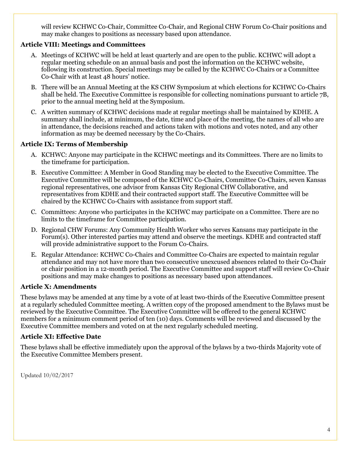will review KCHWC Co-Chair, Committee Co-Chair, and Regional CHW Forum Co-Chair positions and may make changes to positions as necessary based upon attendance.

### **Article VIII: Meetings and Committees**

- A. Meetings of KCHWC will be held at least quarterly and are open to the public. KCHWC will adopt a regular meeting schedule on an annual basis and post the information on the KCHWC website, following its construction. Special meetings may be called by the KCHWC Co-Chairs or a Committee Co-Chair with at least 48 hours' notice.
- B. There will be an Annual Meeting at the KS CHW Symposium at which elections for KCHWC Co-Chairs shall be held. The Executive Committee is responsible for collecting nominations pursuant to article 7B, prior to the annual meeting held at the Symposium.
- C. A written summary of KCHWC decisions made at regular meetings shall be maintained by KDHE. A summary shall include, at minimum, the date, time and place of the meeting, the names of all who are in attendance, the decisions reached and actions taken with motions and votes noted, and any other information as may be deemed necessary by the Co-Chairs.

## **Article IX: Terms of Membership**

- A. KCHWC: Anyone may participate in the KCHWC meetings and its Committees. There are no limits to the timeframe for participation.
- B. Executive Committee: A Member in Good Standing may be elected to the Executive Committee. The Executive Committee will be composed of the KCHWC Co-Chairs, Committee Co-Chairs, seven Kansas regional representatives, one advisor from Kansas City Regional CHW Collaborative, and representatives from KDHE and their contracted support staff. The Executive Committee will be chaired by the KCHWC Co-Chairs with assistance from support staff.
- C. Committees: Anyone who participates in the KCHWC may participate on a Committee. There are no limits to the timeframe for Committee participation.
- D. Regional CHW Forums: Any Community Health Worker who serves Kansans may participate in the Forum(s). Other interested parties may attend and observe the meetings. KDHE and contracted staff will provide administrative support to the Forum Co-Chairs.
- E. Regular Attendance: KCHWC Co-Chairs and Committee Co-Chairs are expected to maintain regular attendance and may not have more than two consecutive unexcused absences related to their Co-Chair or chair position in a 12-month period. The Executive Committee and support staff will review Co-Chair positions and may make changes to positions as necessary based upon attendances.

### **Article X: Amendments**

These bylaws may be amended at any time by a vote of at least two-thirds of the Executive Committee present at a regularly scheduled Committee meeting. A written copy of the proposed amendment to the Bylaws must be reviewed by the Executive Committee. The Executive Committee will be offered to the general KCHWC members for a minimum comment period of ten (10) days. Comments will be reviewed and discussed by the Executive Committee members and voted on at the next regularly scheduled meeting.

### **Article XI: Effective Date**

These bylaws shall be effective immediately upon the approval of the bylaws by a two-thirds Majority vote of the Executive Committee Members present.

Updated 10/02/2017